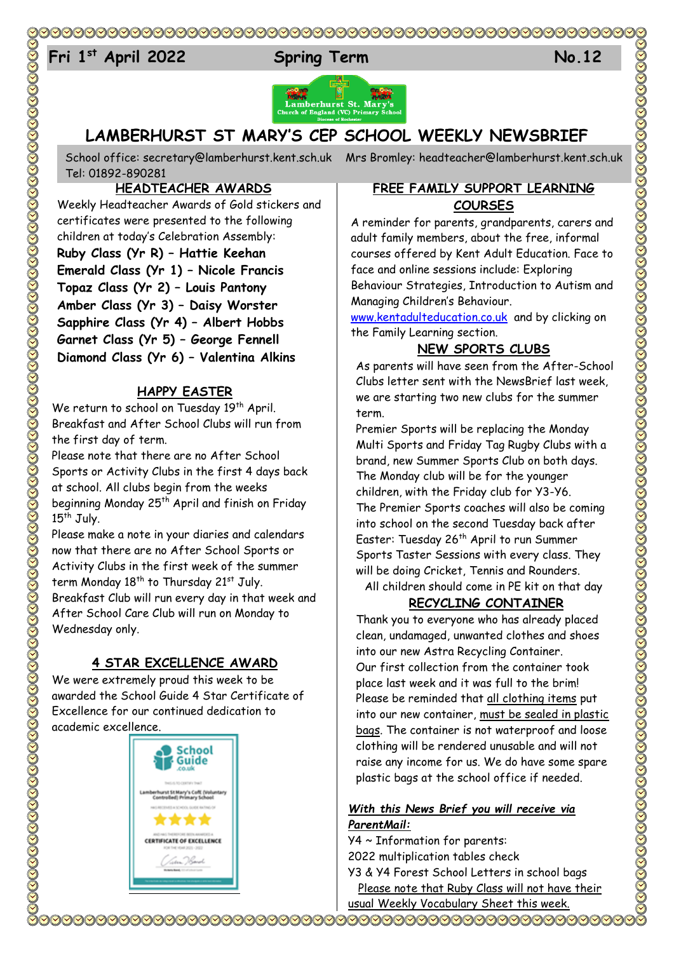# 

# 24 **Fri 1 st April 2022 Spring Term No.12**







# **LAMBERHURST ST MARY'S CEP SCHOOL WEEKLY NEWSBRIEF**

School office: [secretary@lamberhurst.kent.sch.uk](mailto:secretary@lamberhurst.kent.sch.uk) Mrs Bromley: headteacher@lamberhurst.kent.sch.uk Tel: 01892-890281

# **HEADTEACHER AWARDS**

Weekly Headteacher Awards of Gold stickers and certificates were presented to the following children at today's Celebration Assembly: **Ruby Class (Yr R) – Hattie Keehan Emerald Class (Yr 1) – Nicole Francis Topaz Class (Yr 2) – Louis Pantony Amber Class (Yr 3) – Daisy Worster Sapphire Class (Yr 4) – Albert Hobbs Garnet Class (Yr 5) – George Fennell Diamond Class (Yr 6) – Valentina Alkins**

### **HAPPY EASTER**

We return to school on Tuesday 19<sup>th</sup> April. Breakfast and After School Clubs will run from the first day of term.

Please note that there are no After School Sports or Activity Clubs in the first 4 days back at school. All clubs begin from the weeks beginning Monday 25<sup>th</sup> April and finish on Friday  $15<sup>th</sup>$  July.

Please make a note in your diaries and calendars now that there are no After School Sports or Activity Clubs in the first week of the summer term Monday  $18<sup>th</sup>$  to Thursday 21st July. Breakfast Club will run every day in that week and After School Care Club will run on Monday to Wednesday only.

# **4 STAR EXCELLENCE AWARD**

We were extremely proud this week to be awarded the School Guide 4 Star Certificate of Excellence for our continued dedication to academic excellence.



#### **FREE FAMILY SUPPORT LEARNING COURSES**

A reminder for parents, grandparents, carers and adult family members, about the free, informal courses offered by Kent Adult Education. Face to face and online sessions include: Exploring Behaviour Strategies, Introduction to Autism and Managing Children's Behaviour.

[www.kentadulteducation.co.uk](http://www.kentadulteducation.co.uk/) and by clicking on the Family Learning section.

### **NEW SPORTS CLUBS**

As parents will have seen from the After-School Clubs letter sent with the NewsBrief last week, we are starting two new clubs for the summer term.

Premier Sports will be replacing the Monday Multi Sports and Friday Tag Rugby Clubs with a brand, new Summer Sports Club on both days. The Monday club will be for the younger children, with the Friday club for Y3-Y6. The Premier Sports coaches will also be coming into school on the second Tuesday back after Easter: Tuesday 26<sup>th</sup> April to run Summer Sports Taster Sessions with every class. They will be doing Cricket, Tennis and Rounders. All children should come in PE kit on that day

# **RECYCLING CONTAINER**

Thank you to everyone who has already placed clean, undamaged, unwanted clothes and shoes into our new Astra Recycling Container. Our first collection from the container took place last week and it was full to the brim! Please be reminded that all clothing items put into our new container, must be sealed in plastic bags. The container is not waterproof and loose clothing will be rendered unusable and will not raise any income for us. We do have some spare plastic bags at the school office if needed.

#### *With this News Brief you will receive via ParentMail:*

Y4 ~ Information for parents: 2022 multiplication tables check Y3 & Y4 Forest School Letters in school bags

 Please note that Ruby Class will not have their usual Weekly Vocabulary Sheet this week.